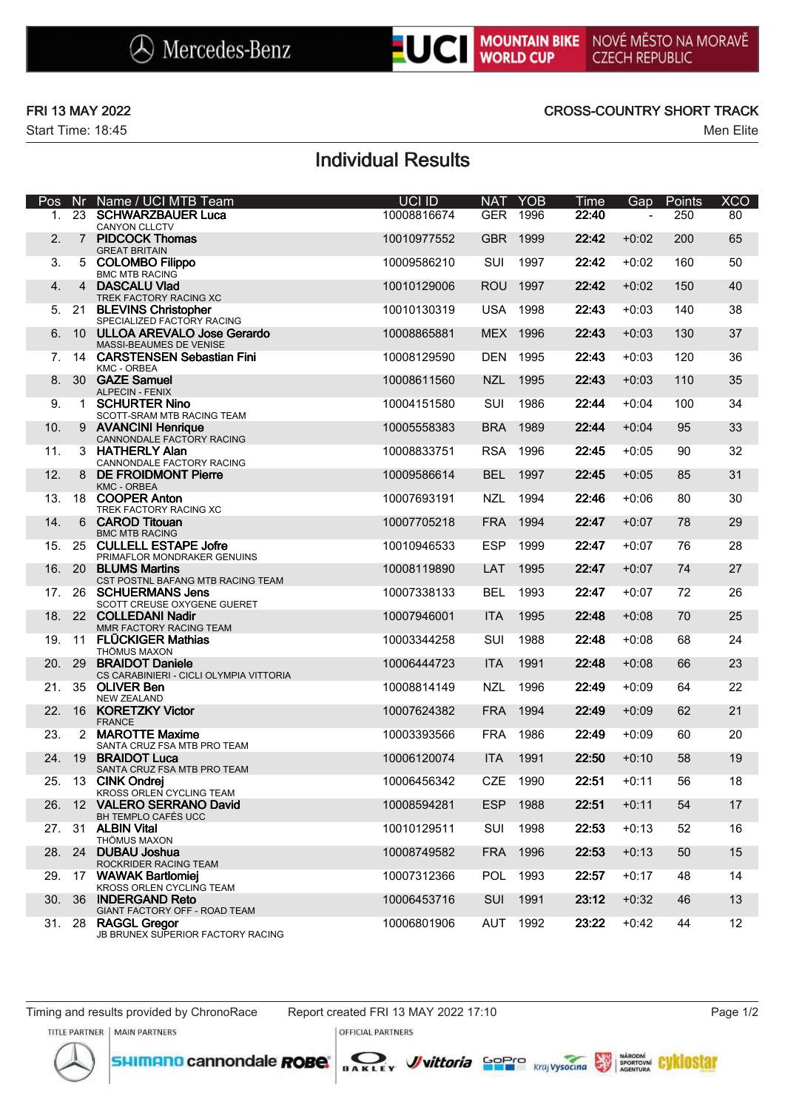Start Time: 18:45 Men Elite

### FRI 13 MAY 2022 CROSS-COUNTRY SHORT TRACK

## Individual Results

| Pos |                | Nr Name / UCI MTB Team                                            | <b>UCI ID</b> | <b>NAT</b> | YOB      | Time  | Gap                      | Points | <b>XCO</b> |
|-----|----------------|-------------------------------------------------------------------|---------------|------------|----------|-------|--------------------------|--------|------------|
| 1.  |                | 23 SCHWARZBAUER Luca<br>CANYON CLLCTV                             | 10008816674   | <b>GER</b> | 1996     | 22:40 | $\overline{\phantom{a}}$ | 250    | 80         |
| 2.  | $7^{\circ}$    | <b>PIDCOCK Thomas</b><br><b>GREAT BRITAIN</b>                     | 10010977552   | <b>GBR</b> | 1999     | 22:42 | $+0:02$                  | 200    | 65         |
| 3.  |                | 5 COLOMBO Filippo<br><b>BMC MTB RACING</b>                        | 10009586210   | SUI        | 1997     | 22:42 | $+0:02$                  | 160    | 50         |
| 4.  | $\overline{4}$ | <b>DASCALU Vlad</b><br>TREK FACTORY RACING XC                     | 10010129006   | <b>ROU</b> | 1997     | 22:42 | $+0:02$                  | 150    | 40         |
| 5.  | 21             | <b>BLEVINS Christopher</b><br>SPECIALIZED FACTORY RACING          | 10010130319   | <b>USA</b> | 1998     | 22:43 | $+0:03$                  | 140    | 38         |
| 6.  | 10             | <b>ULLOA AREVALO Jose Gerardo</b><br>MASSI-BEAUMES DE VENISE      | 10008865881   | MEX 1996   |          | 22:43 | $+0:03$                  | 130    | 37         |
| 7.  |                | 14 CARSTENSEN Sebastian Fini<br><b>KMC - ORBEA</b>                | 10008129590   | <b>DEN</b> | 1995     | 22:43 | $+0:03$                  | 120    | 36         |
| 8.  |                | 30 GAZE Samuel<br><b>ALPECIN - FENIX</b>                          | 10008611560   | NZL        | 1995     | 22:43 | $+0:03$                  | 110    | 35         |
| 9.  |                | 1 SCHURTER Nino<br>SCOTT-SRAM MTB RACING TEAM                     | 10004151580   | SUI        | 1986     | 22:44 | $+0:04$                  | 100    | 34         |
| 10. |                | 9 AVANCINI Henrique<br>CANNONDALE FACTORY RACING                  | 10005558383   | <b>BRA</b> | 1989     | 22:44 | $+0:04$                  | 95     | 33         |
| 11. |                | 3 HATHERLY Alan<br>CANNONDALE FACTORY RACING                      | 10008833751   | <b>RSA</b> | 1996     | 22:45 | $+0:05$                  | 90     | 32         |
| 12. | 8              | <b>DE FROIDMONT Pierre</b><br><b>KMC - ORBEA</b>                  | 10009586614   | <b>BEL</b> | 1997     | 22:45 | $+0:05$                  | 85     | 31         |
| 13. | 18             | <b>COOPER Anton</b><br>TREK FACTORY RACING XC                     | 10007693191   | <b>NZL</b> | 1994     | 22:46 | $+0:06$                  | 80     | 30         |
| 14. | 6              | <b>CAROD Titouan</b><br><b>BMC MTB RACING</b>                     | 10007705218   | <b>FRA</b> | 1994     | 22:47 | $+0:07$                  | 78     | 29         |
| 15. | 25             | <b>CULLELL ESTAPE Jofre</b><br>PRIMAFLOR MONDRAKER GENUINS        | 10010946533   | <b>ESP</b> | 1999     | 22:47 | $+0:07$                  | 76     | 28         |
| 16. | <b>20</b>      | <b>BLUMS Martins</b><br>CST POSTNL BAFANG MTB RACING TEAM         | 10008119890   | LAT        | 1995     | 22:47 | $+0:07$                  | 74     | 27         |
| 17. |                | 26 SCHUERMANS Jens<br>SCOTT CREUSE OXYGENE GUERET                 | 10007338133   | <b>BEL</b> | 1993     | 22:47 | $+0:07$                  | 72     | 26         |
| 18. | <b>22</b>      | <b>COLLEDANI Nadir</b><br>MMR FACTORY RACING TEAM                 | 10007946001   | <b>ITA</b> | 1995     | 22:48 | $+0:08$                  | 70     | 25         |
| 19. | 11             | <b>FLÜCKIGER Mathias</b><br>THÖMUS MAXON                          | 10003344258   | SUI        | 1988     | 22:48 | $+0:08$                  | 68     | 24         |
| 20. | 29             | <b>BRAIDOT Daniele</b><br>CS CARABINIERI - CICLI OLYMPIA VITTORIA | 10006444723   | <b>ITA</b> | 1991     | 22:48 | $+0:08$                  | 66     | 23         |
| 21. | 35             | <b>OLIVER Ben</b><br><b>NEW ZEALAND</b>                           | 10008814149   | <b>NZL</b> | 1996     | 22:49 | $+0:09$                  | 64     | 22         |
| 22. |                | 16 KORETZKY Victor<br><b>FRANCE</b>                               | 10007624382   | <b>FRA</b> | 1994     | 22:49 | $+0:09$                  | 62     | 21         |
| 23. |                | 2 MAROTTE Maxime<br>SANTA CRUZ FSA MTB PRO TEAM                   | 10003393566   | <b>FRA</b> | 1986     | 22:49 | $+0:09$                  | 60     | 20         |
| 24. | 19             | <b>BRAIDOT Luca</b><br>SANTA CRUZ FSA MTB PRO TEAM                | 10006120074   | <b>ITA</b> | 1991     | 22:50 | $+0:10$                  | 58     | 19         |
| 25. |                | 13 CINK Ondrej<br>KROSS ORLEN CYCLING TEAM                        | 10006456342   | CZE        | 1990     | 22:51 | $+0:11$                  | 56     | 18         |
| 26. |                | 12 VALERO SERRANO David<br>BH TEMPLO CAFÉS UCC                    | 10008594281   |            | ESP 1988 | 22:51 | $+0:11$                  | 54     | 17         |
|     |                | 27. 31 ALBIN Vital<br>THÖMUS MAXON                                | 10010129511   | SUI        | 1998     | 22:53 | $+0:13$                  | 52     | 16         |
|     | 28. 24         | <b>DUBAU Joshua</b><br>ROCKRIDER RACING TEAM                      | 10008749582   |            | FRA 1996 | 22:53 | $+0:13$                  | 50     | 15         |
|     | 29. 17         | <b>WAWAK Bartlomiej</b><br>KROSS ORLEN CYCLING TEAM               | 10007312366   |            | POL 1993 | 22:57 | $+0:17$                  | 48     | 14         |
| 30. | -36            | <b>INDERGAND Reto</b><br>GIANT FACTORY OFF - ROAD TEAM            | 10006453716   | SUI        | 1991     | 23:12 | $+0:32$                  | 46     | 13         |
|     | 31. 28         | <b>RAGGL Gregor</b><br>JB BRUNEX SUPERIOR FACTORY RACING          | 10006801906   |            | AUT 1992 | 23:22 | $+0:42$                  | 44     | 12         |

**OFFICIAL PARTNERS** 



SHIMANO cannondale **ROBe**